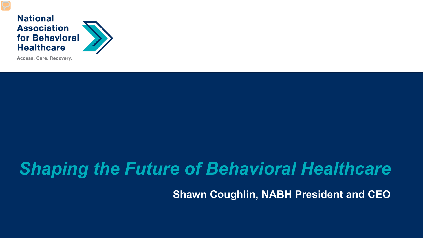

Access. Care. Recovery.

# *Shaping the Future of Behavioral Healthcare*

**Shawn Coughlin, NABH President and CEO**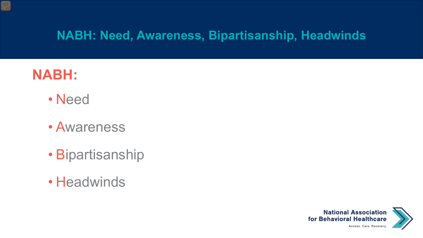### **NABH:**

- Need
- Awareness
- Bipartisanship
- Headwinds

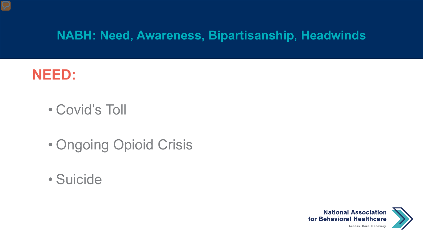

- Covid's Toll
- Ongoing Opioid Crisis
- Suicide

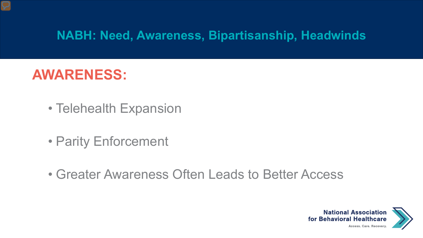### **AWARENESS:**

- Telehealth Expansion
- Parity Enforcement
- Greater Awareness Often Leads to Better Access

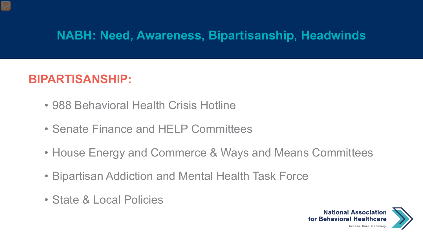#### **BIPARTISANSHIP:**

- 988 Behavioral Health Crisis Hotline
- Senate Finance and HELP Committees
- House Energy and Commerce & Ways and Means Committees
- Bipartisan Addiction and Mental Health Task Force
- State & Local Policies

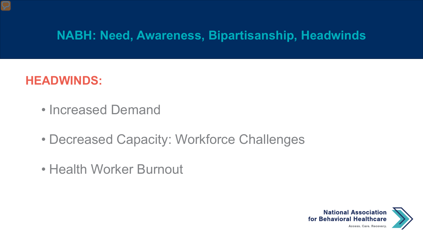#### **HEADWINDS:**

- Increased Demand
- Decreased Capacity: Workforce Challenges
- Health Worker Burnout

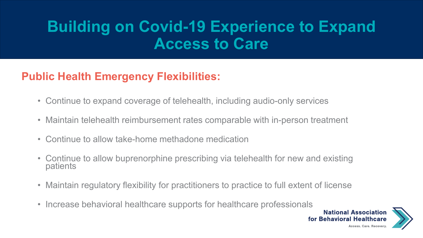## **Building on Covid-19 Experience to Expand Access to Care**

#### **Public Health Emergency Flexibilities:**

- Continue to expand coverage of telehealth, including audio-only services
- Maintain telehealth reimbursement rates comparable with in-person treatment
- Continue to allow take-home methadone medication
- Continue to allow buprenorphine prescribing via telehealth for new and existing patients
- Maintain regulatory flexibility for practitioners to practice to full extent of license
- Increase behavioral healthcare supports for healthcare professionals

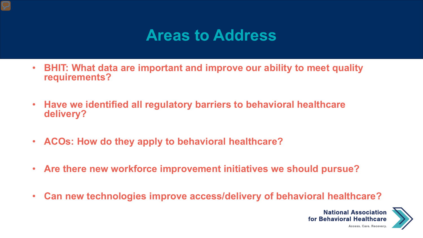### **Areas to Address**

- **BHIT: What data are important and improve our ability to meet quality requirements?**
- **Have we identified all regulatory barriers to behavioral healthcare delivery?**
- **ACOs: How do they apply to behavioral healthcare?**
- **Are there new workforce improvement initiatives we should pursue?**
- **Can new technologies improve access/delivery of behavioral healthcare?**

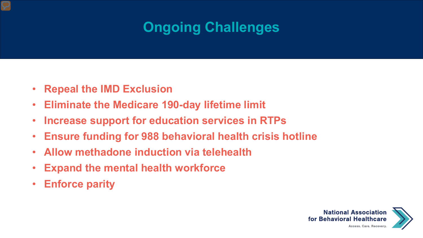### **Ongoing Challenges**

- **Repeal the IMD Exclusion**
- **Eliminate the Medicare 190-day lifetime limit**
- **Increase support for education services in RTPs**
- **Ensure funding for 988 behavioral health crisis hotline**
- **Allow methadone induction via telehealth**
- **Expand the mental health workforce**
- **Enforce parity**